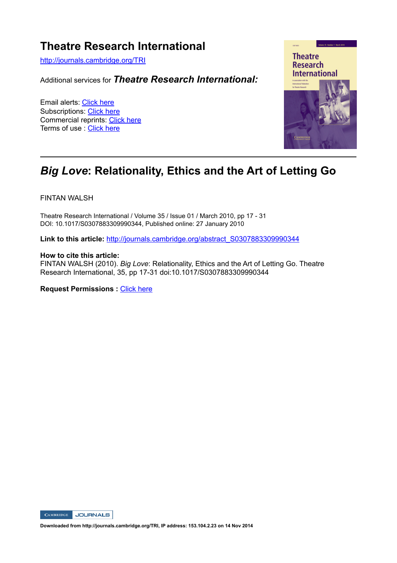### **Theatre Research International**

http://journals.cambridge.org/TRI

Additional services for *Theatre Research International:*

Email alerts: Click here Subscriptions: Click here Commercial reprints: Click here Terms of use : Click here



## *Big Love***: Relationality, Ethics and the Art of Letting Go**

FINTAN WALSH

Theatre Research International / Volume 35 / Issue 01 / March 2010, pp 17 - 31 DOI: 10.1017/S0307883309990344, Published online: 27 January 2010

Link to this article: http://journals.cambridge.org/abstract\_S0307883309990344

#### **How to cite this article:**

FINTAN WALSH (2010). *Big Love*: Relationality, Ethics and the Art of Letting Go. Theatre Research International, 35, pp 17-31 doi:10.1017/S0307883309990344

**Request Permissions :** Click here



**Downloaded from http://journals.cambridge.org/TRI, IP address: 153.104.2.23 on 14 Nov 2014**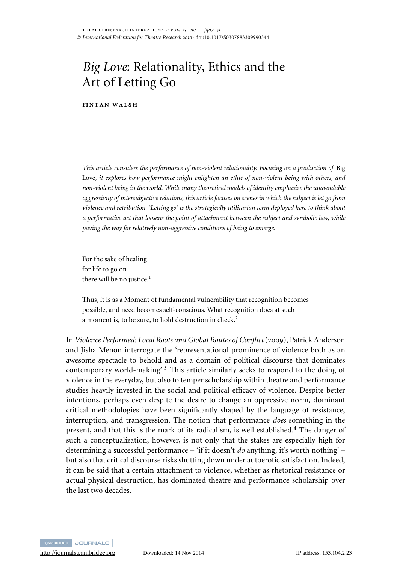# *Big Love*: Relationality, Ethics and the Art of Letting Go

**fintan walsh**

*This article considers the performance of non-violent relationality. Focusing on a production of* Big Love*, it explores how performance might enlighten an ethic of non-violent being with others, and non-violent being in the world. While many theoretical models of identity emphasize the unavoidable aggressivity of intersubjective relations, this article focuses on scenes in which the subject is let go from violence and retribution. 'Letting go' is the strategically utilitarian term deployed here to think about a performative act that loosens the point of attachment between the subject and symbolic law, while paving the way for relatively non-aggressive conditions of being to emerge.*

For the sake of healing for life to go on there will be no justice. $<sup>1</sup>$ </sup>

Thus, it is as a Moment of fundamental vulnerability that recognition becomes possible, and need becomes self-conscious. What recognition does at such a moment is, to be sure, to hold destruction in check.<sup>2</sup>

In *Violence Performed: Local Roots and Global Routes of Conflict* (2009), Patrick Anderson and Jisha Menon interrogate the 'representational prominence of violence both as an awesome spectacle to behold and as a domain of political discourse that dominates contemporary world-making'.<sup>3</sup> This article similarly seeks to respond to the doing of violence in the everyday, but also to temper scholarship within theatre and performance studies heavily invested in the social and political efficacy of violence. Despite better intentions, perhaps even despite the desire to change an oppressive norm, dominant critical methodologies have been significantly shaped by the language of resistance, interruption, and transgression. The notion that performance *does* something in the present, and that this is the mark of its radicalism, is well established.<sup>4</sup> The danger of such a conceptualization, however, is not only that the stakes are especially high for determining a successful performance – 'if it doesn't *do* anything, it's worth nothing' – but also that critical discourse risks shutting down under autoerotic satisfaction. Indeed, it can be said that a certain attachment to violence, whether as rhetorical resistance or actual physical destruction, has dominated theatre and performance scholarship over the last two decades.

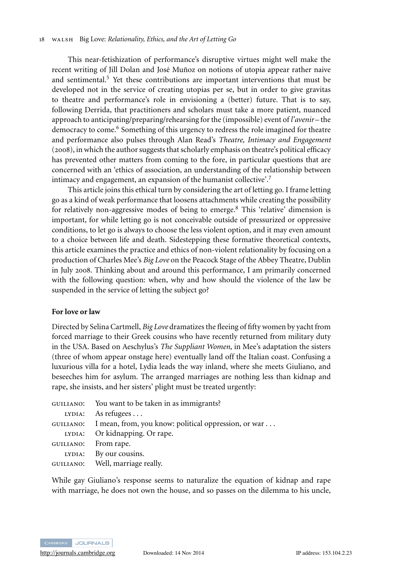This near-fetishization of performance's disruptive virtues might well make the recent writing of Jill Dolan and José Muñoz on notions of utopia appear rather naive and sentimental.<sup>5</sup> Yet these contributions are important interventions that must be developed not in the service of creating utopias per se, but in order to give gravitas to theatre and performance's role in envisioning a (better) future. That is to say, following Derrida, that practitioners and scholars must take a more patient, nuanced approach to anticipating/preparing/rehearsing for the (impossible) event of *l'avenir* – the democracy to come.6 Something of this urgency to redress the role imagined for theatre and performance also pulses through Alan Read's *Theatre, Intimacy and Engagement* (2008), in which the author suggests that scholarly emphasis on theatre's political efficacy has prevented other matters from coming to the fore, in particular questions that are concerned with an 'ethics of association, an understanding of the relationship between intimacy and engagement, an expansion of the humanist collective'.<sup>7</sup>

This article joins this ethical turn by considering the art of letting go. I frame letting go as a kind of weak performance that loosens attachments while creating the possibility for relatively non-aggressive modes of being to emerge.<sup>8</sup> This 'relative' dimension is important, for while letting go is not conceivable outside of pressurized or oppressive conditions, to let go is always to choose the less violent option, and it may even amount to a choice between life and death. Sidestepping these formative theoretical contexts, this article examines the practice and ethics of non-violent relationality by focusing on a production of Charles Mee's *Big Love* on the Peacock Stage of the Abbey Theatre, Dublin in July 2008. Thinking about and around this performance, I am primarily concerned with the following question: when, why and how should the violence of the law be suspended in the service of letting the subject go?

#### **For love or law**

Directed by Selina Cartmell, *Big Love* dramatizes the fleeing of fifty women by yacht from forced marriage to their Greek cousins who have recently returned from military duty in the USA. Based on Aeschylus's *The Suppliant Women*, in Mee's adaptation the sisters (three of whom appear onstage here) eventually land off the Italian coast. Confusing a luxurious villa for a hotel, Lydia leads the way inland, where she meets Giuliano, and beseeches him for asylum. The arranged marriages are nothing less than kidnap and rape, she insists, and her sisters' plight must be treated urgently:

| GUILIANO: You want to be taken in as immigrants?               |
|----------------------------------------------------------------|
| $LYDIA$ : As refugees                                          |
| GUILIANO: I mean, from, you know: political oppression, or war |
| LYDIA: Or kidnapping. Or rape.                                 |
| GUILIANO: From rape.                                           |
| LYDIA: By our cousins.                                         |
| GUILIANO: Well, marriage really.                               |

While gay Giuliano's response seems to naturalize the equation of kidnap and rape with marriage, he does not own the house, and so passes on the dilemma to his uncle,

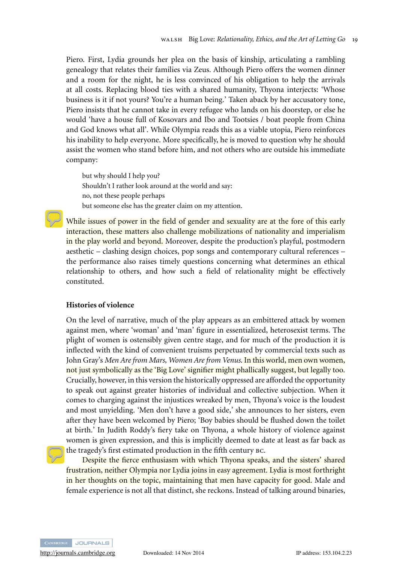Piero. First, Lydia grounds her plea on the basis of kinship, articulating a rambling genealogy that relates their families via Zeus. Although Piero offers the women dinner and a room for the night, he is less convinced of his obligation to help the arrivals at all costs. Replacing blood ties with a shared humanity, Thyona interjects: 'Whose business is it if not yours? You're a human being.' Taken aback by her accusatory tone, Piero insists that he cannot take in every refugee who lands on his doorstep, or else he would 'have a house full of Kosovars and Ibo and Tootsies / boat people from China and God knows what all'. While Olympia reads this as a viable utopia, Piero reinforces his inability to help everyone. More specifically, he is moved to question why he should assist the women who stand before him, and not others who are outside his immediate company:

but why should I help you? Shouldn't I rather look around at the world and say: no, not these people perhaps but someone else has the greater claim on my attention.

While issues of power in the field of gender and sexuality are at the fore of this early interaction, these matters also challenge mobilizations of nationality and imperialism in the play world and beyond. Moreover, despite the production's playful, postmodern aesthetic – clashing design choices, pop songs and contemporary cultural references – the performance also raises timely questions concerning what determines an ethical relationship to others, and how such a field of relationality might be effectively constituted.

#### **Histories of violence**

On the level of narrative, much of the play appears as an embittered attack by women against men, where 'woman' and 'man' figure in essentialized, heterosexist terms. The plight of women is ostensibly given centre stage, and for much of the production it is inflected with the kind of convenient truisms perpetuated by commercial texts such as John Gray's *Men Are from Mars, Women Are from Venus*. In this world, men own women, not just symbolically as the 'Big Love' signifier might phallically suggest, but legally too. Crucially, however, in this version the historically oppressed are afforded the opportunity to speak out against greater histories of individual and collective subjection. When it comes to charging against the injustices wreaked by men, Thyona's voice is the loudest and most unyielding. 'Men don't have a good side,' she announces to her sisters, even after they have been welcomed by Piero; 'Boy babies should be flushed down the toilet at birth.' In Judith Roddy's fiery take on Thyona, a whole history of violence against women is given expression, and this is implicitly deemed to date at least as far back as the tragedy's first estimated production in the fifth century bc.

Despite the fierce enthusiasm with which Thyona speaks, and the sisters' shared frustration, neither Olympia nor Lydia joins in easy agreement. Lydia is most forthright in her thoughts on the topic, maintaining that men have capacity for good. Male and female experience is not all that distinct, she reckons. Instead of talking around binaries,

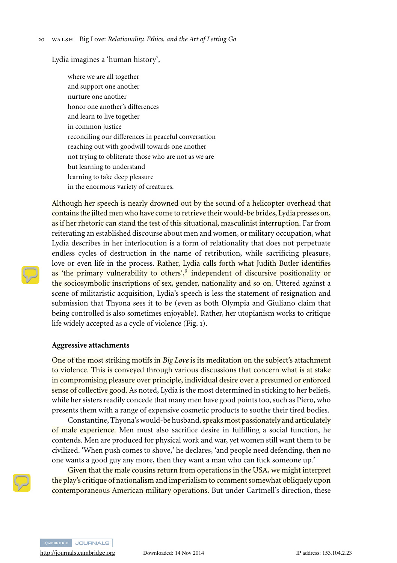Lydia imagines a 'human history',

where we are all together and support one another nurture one another honor one another's differences and learn to live together in common justice reconciling our differences in peaceful conversation reaching out with goodwill towards one another not trying to obliterate those who are not as we are but learning to understand learning to take deep pleasure in the enormous variety of creatures.

Although her speech is nearly drowned out by the sound of a helicopter overhead that contains the jilted men who have come to retrieve their would-be brides, Lydia presses on, as if her rhetoric can stand the test of this situational, masculinist interruption. Far from reiterating an established discourse about men and women, or military occupation, what Lydia describes in her interlocution is a form of relationality that does not perpetuate endless cycles of destruction in the name of retribution, while sacrificing pleasure, love or even life in the process. Rather, Lydia calls forth what Judith Butler identifies as 'the primary vulnerability to others',<sup>9</sup> independent of discursive positionality or the sociosymbolic inscriptions of sex, gender, nationality and so on. Uttered against a scene of militaristic acquisition, Lydia's speech is less the statement of resignation and submission that Thyona sees it to be (even as both Olympia and Giuliano claim that being controlled is also sometimes enjoyable). Rather, her utopianism works to critique life widely accepted as a cycle of violence (Fig. 1).

#### **Aggressive attachments**

One of the most striking motifs in *Big Love* is its meditation on the subject's attachment to violence. This is conveyed through various discussions that concern what is at stake in compromising pleasure over principle, individual desire over a presumed or enforced sense of collective good. As noted, Lydia is the most determined in sticking to her beliefs, while her sisters readily concede that many men have good points too, such as Piero, who presents them with a range of expensive cosmetic products to soothe their tired bodies.

Constantine, Thyona's would-be husband, speaks most passionately and articulately of male experience. Men must also sacrifice desire in fulfilling a social function, he contends. Men are produced for physical work and war, yet women still want them to be civilized. 'When push comes to shove,' he declares, 'and people need defending, then no one wants a good guy any more, then they want a man who can fuck someone up.'

Given that the male cousins return from operations in the USA, we might interpret the play's critique of nationalism and imperialism to comment somewhat obliquely upon contemporaneous American military operations. But under Cartmell's direction, these

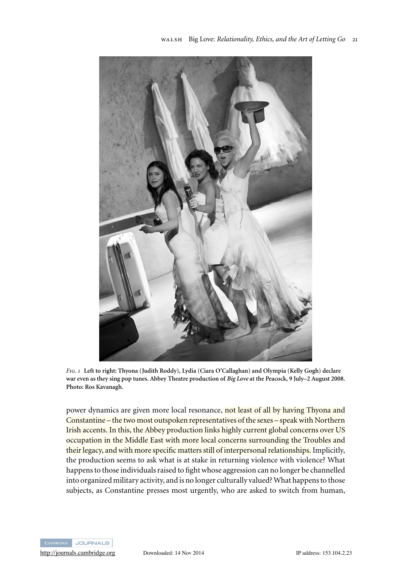

*Fig. 1* **Left to right: Thyona (Judith Roddy), Lydia (Ciara O'Callaghan) and Olympia (Kelly Gogh) declare war even as they sing pop tunes. Abbey Theatre production of** *Big Love* **at the Peacock, 9 July–2 August 2008. Photo: Ros Kavanagh.**

power dynamics are given more local resonance, not least of all by having Thyona and Constantine – the two most outspoken representatives of the sexes – speak with Northern Irish accents. In this, the Abbey production links highly current global concerns over US occupation in the Middle East with more local concerns surrounding the Troubles and their legacy, and with more specific matters still of interpersonal relationships. Implicitly, the production seems to ask what is at stake in returning violence with violence? What happens to those individuals raised to fight whose aggression can no longer be channelled into organized military activity, and is no longer culturally valued?What happens to those subjects, as Constantine presses most urgently, who are asked to switch from human,

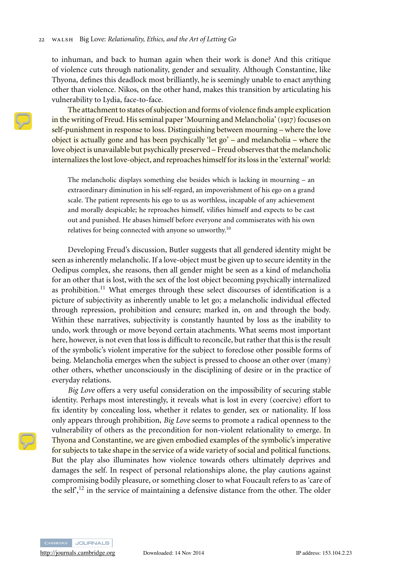to inhuman, and back to human again when their work is done? And this critique of violence cuts through nationality, gender and sexuality. Although Constantine, like Thyona, defines this deadlock most brilliantly, he is seemingly unable to enact anything other than violence. Nikos, on the other hand, makes this transition by articulating his vulnerability to Lydia, face-to-face.

The attachment to states of subjection and forms of violence finds ample explication in the writing of Freud. His seminal paper 'Mourning and Melancholia' (1917) focuses on self-punishment in response to loss. Distinguishing between mourning – where the love object is actually gone and has been psychically 'let go' – and melancholia – where the love object is unavailable but psychically preserved – Freud observes that the melancholic internalizes the lost love-object, and reproaches himself for its loss in the 'external' world:

The melancholic displays something else besides which is lacking in mourning – an extraordinary diminution in his self-regard, an impoverishment of his ego on a grand scale. The patient represents his ego to us as worthless, incapable of any achievement and morally despicable; he reproaches himself, vilifies himself and expects to be cast out and punished. He abases himself before everyone and commiserates with his own relatives for being connected with anyone so unworthy.10

Developing Freud's discussion, Butler suggests that all gendered identity might be seen as inherently melancholic. If a love-object must be given up to secure identity in the Oedipus complex, she reasons, then all gender might be seen as a kind of melancholia for an other that is lost, with the sex of the lost object becoming psychically internalized as prohibition.<sup>11</sup> What emerges through these select discourses of identification is a picture of subjectivity as inherently unable to let go; a melancholic individual effected through repression, prohibition and censure; marked in, on and through the body. Within these narratives, subjectivity is constantly haunted by loss as the inability to undo, work through or move beyond certain atachments. What seems most important here, however, is not even that loss is difficult to reconcile, but rather that this is the result of the symbolic's violent imperative for the subject to foreclose other possible forms of being. Melancholia emerges when the subject is pressed to choose an other over (many) other others, whether unconsciously in the disciplining of desire or in the practice of everyday relations.

*Big Love* offers a very useful consideration on the impossibility of securing stable identity. Perhaps most interestingly, it reveals what is lost in every (coercive) effort to fix identity by concealing loss, whether it relates to gender, sex or nationality. If loss only appears through prohibition, *Big Love* seems to promote a radical openness to the vulnerability of others as the precondition for non-violent relationality to emerge. In Thyona and Constantine, we are given embodied examples of the symbolic's imperative for subjects to take shape in the service of a wide variety of social and political functions. But the play also illuminates how violence towards others ultimately deprives and damages the self. In respect of personal relationships alone, the play cautions against compromising bodily pleasure, or something closer to what Foucault refers to as 'care of the self,  $^{12}$  in the service of maintaining a defensive distance from the other. The older

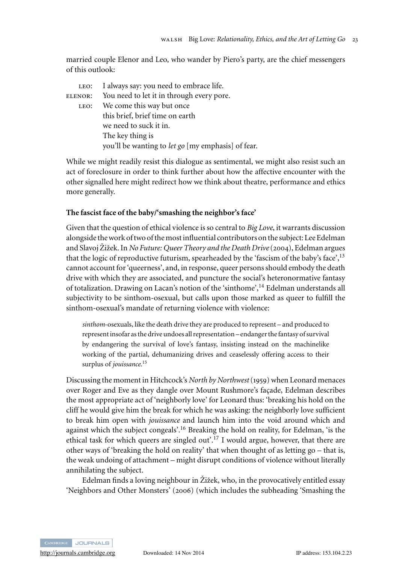married couple Elenor and Leo, who wander by Piero's party, are the chief messengers of this outlook:

| LEO:    | I always say: you need to embrace life.            |
|---------|----------------------------------------------------|
| ELENOR: | You need to let it in through every pore.          |
| LEO:    | We come this way but once                          |
|         | this brief, brief time on earth                    |
|         | we need to suck it in.                             |
|         | The key thing is                                   |
|         | you'll be wanting to let go [my emphasis] of fear. |

While we might readily resist this dialogue as sentimental, we might also resist such an act of foreclosure in order to think further about how the affective encounter with the other signalled here might redirect how we think about theatre, performance and ethics more generally.

#### **The fascist face of the baby/'smashing the neighbor's face'**

Given that the question of ethical violence is so central to *Big Love*, it warrants discussion alongside the work of two of themost influential contributors on the subject: Lee Edelman and Slavoj Žižek. In *No Future: Queer Theory and the Death Drive* (2004), Edelman argues that the logic of reproductive futurism, spearheaded by the 'fascism of the baby's face',<sup>13</sup> cannot account for 'queerness', and, in response, queer persons should embody the death drive with which they are associated, and puncture the social's heteronormative fantasy of totalization. Drawing on Lacan's notion of the 'sinthome',<sup>14</sup> Edelman understands all subjectivity to be sinthom-osexual, but calls upon those marked as queer to fulfill the sinthom-osexual's mandate of returning violence with violence:

*sinthom*-osexuals, like the death drive they are produced to represent – and produced to represent insofar as the drive undoes all representation – endanger the fantasy of survival by endangering the survival of love's fantasy, insisting instead on the machinelike working of the partial, dehumanizing drives and ceaselessly offering access to their surplus of *jouissance*. 15

Discussing the moment in Hitchcock's *North by Northwest*(1959) when Leonard menaces over Roger and Eve as they dangle over Mount Rushmore's façade, Edelman describes the most appropriate act of 'neighborly love' for Leonard thus: 'breaking his hold on the cliff he would give him the break for which he was asking: the neighborly love sufficient to break him open with *jouissance* and launch him into the void around which and against which the subject congeals'.<sup>16</sup> Breaking the hold on reality, for Edelman, 'is the ethical task for which queers are singled out'.<sup>17</sup> I would argue, however, that there are other ways of 'breaking the hold on reality' that when thought of as letting go – that is, the weak undoing of attachment – might disrupt conditions of violence without literally annihilating the subject.

Edelman finds a loving neighbour in Žižek, who, in the provocatively entitled essay 'Neighbors and Other Monsters' (2006) (which includes the subheading 'Smashing the

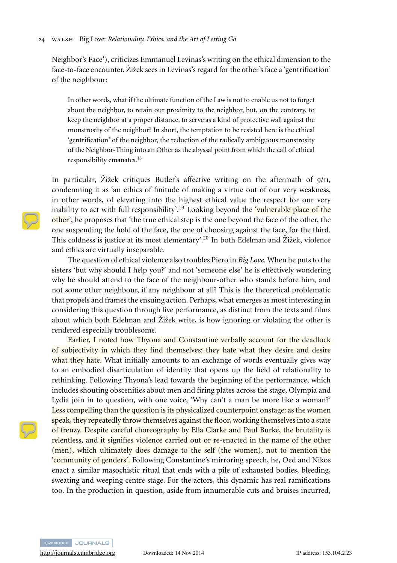Neighbor's Face'), criticizes Emmanuel Levinas's writing on the ethical dimension to the face-to-face encounter. Žižek sees in Levinas's regard for the other's face a 'gentrification' of the neighbour:

In other words, what if the ultimate function of the Law is not to enable us not to forget about the neighbor, to retain our proximity to the neighbor, but, on the contrary, to keep the neighbor at a proper distance, to serve as a kind of protective wall against the monstrosity of the neighbor? In short, the temptation to be resisted here is the ethical 'gentrification' of the neighbor, the reduction of the radically ambiguous monstrosity of the Neighbor-Thing into an Other as the abyssal point from which the call of ethical responsibility emanates.<sup>18</sup>

In particular, Zižek critiques Butler's affective writing on the aftermath of  $9/11$ , condemning it as 'an ethics of finitude of making a virtue out of our very weakness, in other words, of elevating into the highest ethical value the respect for our very inability to act with full responsibility'.<sup>19</sup> Looking beyond the 'vulnerable place of the other', he proposes that 'the true ethical step is the one beyond the face of the other, the one suspending the hold of the face, the one of choosing against the face, for the third. This coldness is justice at its most elementary'.<sup>20</sup> In both Edelman and Žižek, violence and ethics are virtually inseparable.

The question of ethical violence also troubles Piero in *Big Love*. When he puts to the sisters 'but why should I help you?' and not 'someone else' he is effectively wondering why he should attend to the face of the neighbour-other who stands before him, and not some other neighbour, if any neighbour at all? This is the theoretical problematic that propels and frames the ensuing action. Perhaps, what emerges as most interesting in considering this question through live performance, as distinct from the texts and films about which both Edelman and Žižek write, is how ignoring or violating the other is rendered especially troublesome.

Earlier, I noted how Thyona and Constantine verbally account for the deadlock of subjectivity in which they find themselves: they hate what they desire and desire what they hate. What initially amounts to an exchange of words eventually gives way to an embodied disarticulation of identity that opens up the field of relationality to rethinking. Following Thyona's lead towards the beginning of the performance, which includes shouting obscenities about men and firing plates across the stage, Olympia and Lydia join in to question, with one voice, 'Why can't a man be more like a woman?' Less compelling than the question is its physicalized counterpoint onstage: as the women speak, they repeatedly throw themselves against the floor, working themselves into a state of frenzy. Despite careful choreography by Ella Clarke and Paul Burke, the brutality is relentless, and it signifies violence carried out or re-enacted in the name of the other (men), which ultimately does damage to the self (the women), not to mention the 'community of genders'. Following Constantine's mirroring speech, he, Oed and Nikos enact a similar masochistic ritual that ends with a pile of exhausted bodies, bleeding, sweating and weeping centre stage. For the actors, this dynamic has real ramifications too. In the production in question, aside from innumerable cuts and bruises incurred,

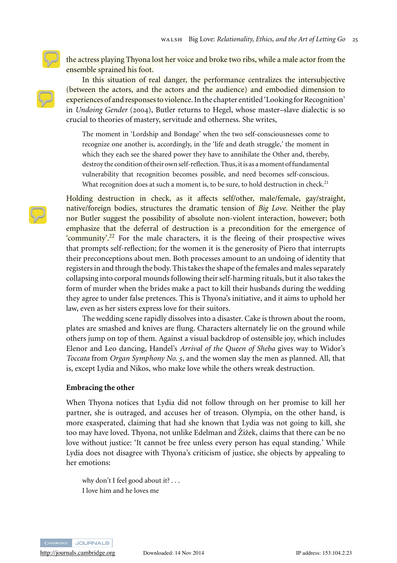the actress playing Thyona lost her voice and broke two ribs, while a male actor from the ensemble sprained his foot.

In this situation of real danger, the performance centralizes the intersubjective (between the actors, and the actors and the audience) and embodied dimension to experiences of and responses to violence. In the chapter entitled 'Lookingfor Recognition' in *Undoing Gender* (2004), Butler returns to Hegel, whose master–slave dialectic is so crucial to theories of mastery, servitude and otherness. She writes,

The moment in 'Lordship and Bondage' when the two self-consciousnesses come to recognize one another is, accordingly, in the 'life and death struggle,' the moment in which they each see the shared power they have to annihilate the Other and, thereby, destroy the condition of their own self-reflection. Thus, it is as a moment of fundamental vulnerability that recognition becomes possible, and need becomes self-conscious. What recognition does at such a moment is, to be sure, to hold destruction in check.<sup>21</sup>

Holding destruction in check, as it affects self/other, male/female, gay/straight, native/foreign bodies, structures the dramatic tension of *Big Love*. Neither the play nor Butler suggest the possibility of absolute non-violent interaction, however; both emphasize that the deferral of destruction is a precondition for the emergence of  $\overline{\text{community}}$ <sup>22</sup> For the male characters, it is the fleeing of their prospective wives that prompts self-reflection; for the women it is the generosity of Piero that interrupts their preconceptions about men. Both processes amount to an undoing of identity that registers in and through the body. This takes the shape of the females and males separately collapsing into corporal mounds following their self-harming rituals, but it also takes the form of murder when the brides make a pact to kill their husbands during the wedding they agree to under false pretences. This is Thyona's initiative, and it aims to uphold her law, even as her sisters express love for their suitors.

The wedding scene rapidly dissolves into a disaster. Cake is thrown about the room, plates are smashed and knives are flung. Characters alternately lie on the ground while others jump on top of them. Against a visual backdrop of ostensible joy, which includes Elenor and Leo dancing, Handel's *Arrival of the Queen of Sheba* gives way to Widor's *Toccata* from *Organ Symphony No. 5*, and the women slay the men as planned. All, that is, except Lydia and Nikos, who make love while the others wreak destruction.

#### **Embracing the other**

When Thyona notices that Lydia did not follow through on her promise to kill her partner, she is outraged, and accuses her of treason. Olympia, on the other hand, is more exasperated, claiming that had she known that Lydia was not going to kill, she too may have loved. Thyona, not unlike Edelman and Žižek, claims that there can be no love without justice: 'It cannot be free unless every person has equal standing.' While Lydia does not disagree with Thyona's criticism of justice, she objects by appealing to her emotions:

why don't I feel good about it? . . . I love him and he loves me

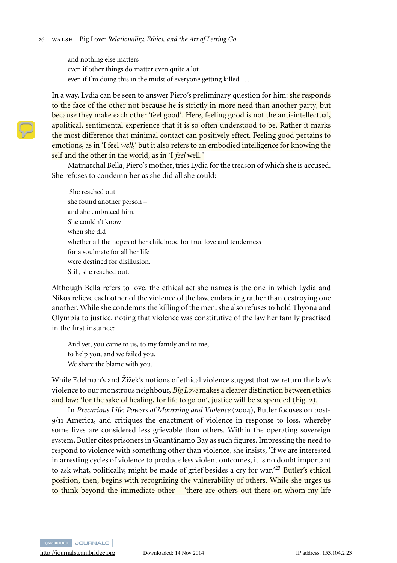and nothing else matters even if other things do matter even quite a lot even if I'm doing this in the midst of everyone getting killed . . .

In a way, Lydia can be seen to answer Piero's preliminary question for him: she responds to the face of the other not because he is strictly in more need than another party, but because they make each other 'feel good'. Here, feeling good is not the anti-intellectual, apolitical, sentimental experience that it is so often understood to be. Rather it marks the most difference that minimal contact can positively effect. Feeling good pertains to emotions, as in 'I feel *well*,' but it also refers to an embodied intelligence for knowing the self and the other in the world, as in 'I *feel* well.'

Matriarchal Bella, Piero's mother, tries Lydia for the treason of which she is accused. She refuses to condemn her as she did all she could:

She reached out she found another person – and she embraced him. She couldn't know when she did whether all the hopes of her childhood for true love and tenderness for a soulmate for all her life were destined for disillusion. Still, she reached out.

Although Bella refers to love, the ethical act she names is the one in which Lydia and Nikos relieve each other of the violence of the law, embracing rather than destroying one another. While she condemns the killing of the men, she also refuses to hold Thyona and Olympia to justice, noting that violence was constitutive of the law her family practised in the first instance:

And yet, you came to us, to my family and to me, to help you, and we failed you. We share the blame with you.

While Edelman's and Žižek's notions of ethical violence suggest that we return the law's violence to our monstrous neighbour, *Big Love* makes a clearer distinction between ethics and law: 'for the sake of healing, for life to go on', justice will be suspended (Fig. 2).

In *Precarious Life: Powers of Mourning and Violence* (2004), Butler focuses on post-9/11 America, and critiques the enactment of violence in response to loss, whereby some lives are considered less grievable than others. Within the operating sovereign system, Butler cites prisoners in Guantánamo Bay as such figures. Impressing the need to respond to violence with something other than violence, she insists, 'If we are interested in arresting cycles of violence to produce less violent outcomes, it is no doubt important to ask what, politically, might be made of grief besides a cry for war.<sup>223</sup> Butler's ethical position, then, begins with recognizing the vulnerability of others. While she urges us to think beyond the immediate other – 'there are others out there on whom my life

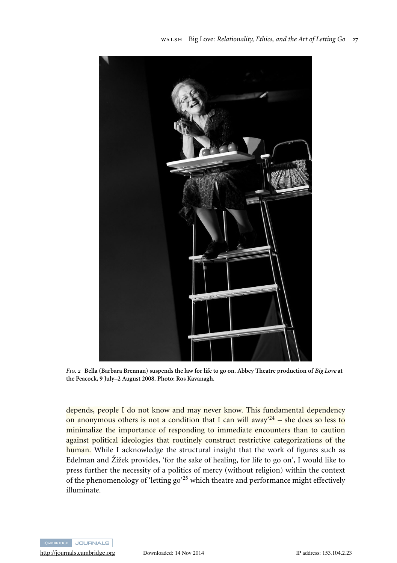

*Fig. 2* **Bella (Barbara Brennan) suspends the law for life to go on. Abbey Theatre production of** *Big Love* **at the Peacock, 9 July–2 August 2008. Photo: Ros Kavanagh.**

depends, people I do not know and may never know. This fundamental dependency on anonymous others is not a condition that I can will away<sup>24</sup> – she does so less to minimalize the importance of responding to immediate encounters than to caution against political ideologies that routinely construct restrictive categorizations of the human. While I acknowledge the structural insight that the work of figures such as Edelman and Žižek provides, 'for the sake of healing, for life to go on', I would like to press further the necessity of a politics of mercy (without religion) within the context of the phenomenology of 'letting go'25 which theatre and performance might effectively illuminate.

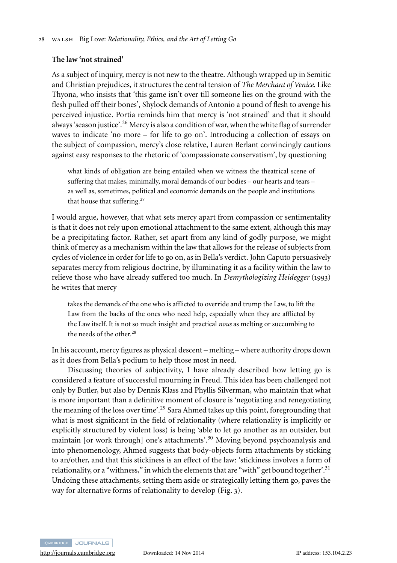#### **The law 'not strained'**

As a subject of inquiry, mercy is not new to the theatre. Although wrapped up in Semitic and Christian prejudices, it structures the central tension of *The Merchant of Venice*. Like Thyona, who insists that 'this game isn't over till someone lies on the ground with the flesh pulled off their bones', Shylock demands of Antonio a pound of flesh to avenge his perceived injustice. Portia reminds him that mercy is 'not strained' and that it should always 'season justice'.<sup>26</sup> Mercy is also a condition of war, when the white flag of surrender waves to indicate 'no more – for life to go on'. Introducing a collection of essays on the subject of compassion, mercy's close relative, Lauren Berlant convincingly cautions against easy responses to the rhetoric of 'compassionate conservatism', by questioning

what kinds of obligation are being entailed when we witness the theatrical scene of suffering that makes, minimally, moral demands of our bodies – our hearts and tears – as well as, sometimes, political and economic demands on the people and institutions that house that suffering.<sup>27</sup>

I would argue, however, that what sets mercy apart from compassion or sentimentality is that it does not rely upon emotional attachment to the same extent, although this may be a precipitating factor. Rather, set apart from any kind of godly purpose, we might think of mercy as a mechanism within the law that allows for the release of subjects from cycles of violence in order for life to go on, as in Bella's verdict. John Caputo persuasively separates mercy from religious doctrine, by illuminating it as a facility within the law to relieve those who have already suffered too much. In *Demythologizing Heidegger* (1993) he writes that mercy

takes the demands of the one who is afflicted to override and trump the Law, to lift the Law from the backs of the ones who need help, especially when they are afflicted by the Law itself. It is not so much insight and practical *nous* as melting or succumbing to the needs of the other.<sup>28</sup>

In his account, mercy figures as physical descent – melting – where authority drops down as it does from Bella's podium to help those most in need.

Discussing theories of subjectivity, I have already described how letting go is considered a feature of successful mourning in Freud. This idea has been challenged not only by Butler, but also by Dennis Klass and Phyllis Silverman, who maintain that what is more important than a definitive moment of closure is 'negotiating and renegotiating the meaning of the loss over time'.<sup>29</sup> Sara Ahmed takes up this point, foregrounding that what is most significant in the field of relationality (where relationality is implicitly or explicitly structured by violent loss) is being 'able to let go another as an outsider, but maintain [or work through] one's attachments'.<sup>30</sup> Moving beyond psychoanalysis and into phenomenology, Ahmed suggests that body-objects form attachments by sticking to an/other, and that this stickiness is an effect of the law: 'stickiness involves a form of relationality, or a "withness," in which the elements that are "with" get bound together'.<sup>31</sup> Undoing these attachments, setting them aside or strategically letting them go, paves the way for alternative forms of relationality to develop (Fig. 3).

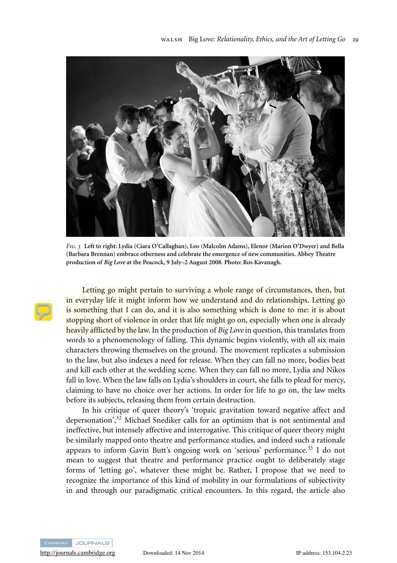

*Fig. 3* **Left to right: Lydia (Ciara O'Callaghan), Leo (Malcolm Adams), Elenor (Marion O'Dwyer) and Bella (Barbara Brennan) embrace otherness and celebrate the emergence of new communities. Abbey Theatre production of** *Big Love* **at the Peacock, 9 July–2 August 2008. Photo: Ros Kavanagh.**

Letting go might pertain to surviving a whole range of circumstances, then, but in everyday life it might inform how we understand and do relationships. Letting go is something that I can do, and it is also something which is done to me: it is about stopping short of violence in order that life might go on, especially when one is already heavily afflicted by the law. In the production of *Big Love*in question, this translates from words to a phenomenology of falling. This dynamic begins violently, with all six main characters throwing themselves on the ground. The movement replicates a submission to the law, but also indexes a need for release. When they can fall no more, bodies beat and kill each other at the wedding scene. When they can fall no more, Lydia and Nikos fall in love. When the law falls on Lydia's shoulders in court, she falls to plead for mercy, claiming to have no choice over her actions. In order for life to go on, the law melts before its subjects, releasing them from certain destruction.

In his critique of queer theory's 'tropaic gravitation toward negative affect and depersonation',<sup>32</sup> Michael Snediker calls for an optimism that is not sentimental and ineffective, but intensely affective and interrogative. This critique of queer theory might be similarly mapped onto theatre and performance studies, and indeed such a rationale appears to inform Gavin Butt's ongoing work on 'serious' performance.<sup>33</sup> I do not mean to suggest that theatre and performance practice ought to deliberately stage forms of 'letting go', whatever these might be. Rather, I propose that we need to recognize the importance of this kind of mobility in our formulations of subjectivity in and through our paradigmatic critical encounters. In this regard, the article also

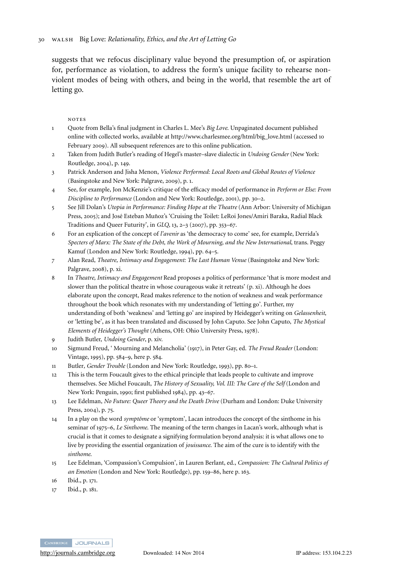#### 30 walsh Big Love: *Relationality, Ethics, and the Art of Letting Go*

suggests that we refocus disciplinary value beyond the presumption of, or aspiration for, performance as violation, to address the form's unique facility to rehearse nonviolent modes of being with others, and being in the world, that resemble the art of letting go.

#### notes

- 1 Quote from Bella's final judgment in Charles L. Mee's *Big Love*. Unpaginated document published online with collected works, available at http://www.charlesmee.org/html/big\_love.html (accessed 10 February 2009). All subsequent references are to this online publication.
- 2 Taken from Judith Butler's reading of Hegel's master–slave dialectic in *Undoing Gender* (New York: Routledge, 2004), p. 149.
- 3 Patrick Anderson and Jisha Menon, *Violence Performed: Local Roots and Global Routes of Violence* (Basingstoke and New York: Palgrave, 2009), p. 1.
- 4 See, for example, Jon McKenzie's critique of the efficacy model of performance in *Perform or Else: From Discipline to Performance* (London and New York: Routledge, 2001), pp. 30–2.
- 5 See Jill Dolan's *Utopia in Performance: Finding Hope at the Theatre* (Ann Arbor: University of Michigan Press, 2005); and José Esteban Muñoz's 'Cruising the Toilet: LeRoi Jones/Amiri Baraka, Radial Black Traditions and Queer Futurity', in *GLQ*, 13, 2–3 (2007), pp. 353–67.
- 6 For an explication of the concept of *l'avenir* as 'the democracy to come' see, for example, Derrida's *Specters of Marx: The State of the Debt, the Work of Mourning, and the New International*, trans. Peggy Kamuf (London and New York: Routledge, 1994), pp. 64–5.
- 7 Alan Read, *Theatre, Intimacy and Engagement: The Last Human Venue* (Basingstoke and New York: Palgrave, 2008), p. xi.
- 8 In *Theatre, Intimacy and Engagement* Read proposes a politics of performance 'that is more modest and slower than the political theatre in whose courageous wake it retreats' (p. xi). Although he does elaborate upon the concept, Read makes reference to the notion of weakness and weak performance throughout the book which resonates with my understanding of 'letting go'. Further, my understanding of both 'weakness' and 'letting go' are inspired by Heidegger's writing on *Gelassenheit*, or 'letting be', as it has been translated and discussed by John Caputo. See John Caputo, *The Mystical Elements of Heidegger's Thought* (Athens, OH: Ohio University Press, 1978).
- 9 Judith Butler, *Undoing Gender*, p. xiv.
- 10 Sigmund Freud, ' Mourning and Melancholia' (1917), in Peter Gay, ed. *The Freud Reader* (London: Vintage, 1995), pp. 584–9, here p. 584.
- 11 Butler*, Gender Trouble* (London and New York: Routledge, 1993), pp. 80–1.
- 12 This is the term Foucault gives to the ethical principle that leads people to cultivate and improve themselves. See Michel Foucault, *The History of Sexuality, Vol. III: The Care of the Self* (London and New York: Penguin, 1990; first published 1984), pp. 43–67.
- 13 Lee Edelman, *No Future: Queer Theory and the Death Drive* (Durham and London: Duke University Press, 2004), p. 75.
- 14 In a play on the word *symptôme* or 'symptom', Lacan introduces the concept of the sinthome in his seminar of 1975–6, *Le Sinthome*. The meaning of the term changes in Lacan's work, although what is crucial is that it comes to designate a signifying formulation beyond analysis: it is what allows one to live by providing the essential organization of *jouissance*. The aim of the cure is to identify with the *sinthome*.
- 15 Lee Edelman, 'Compassion's Compulsion', in Lauren Berlant, ed., *Compassion: The Cultural Politics of an Emotion* (London and New York: Routledge), pp. 159–86, here p. 163.
- 16 Ibid., p. 171.
- 17 Ibid., p. 181.